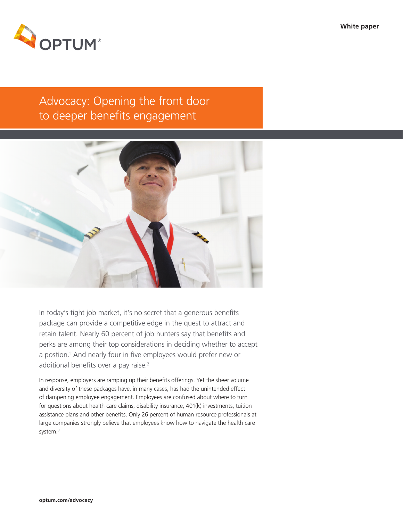

# Advocacy: Opening the front door to deeper benefits engagement



In today's tight job market, it's no secret that a generous benefits package can provide a competitive edge in the quest to attract and retain talent. Nearly 60 percent of job hunters say that benefits and perks are among their top considerations in deciding whether to accept a postion.1 And nearly four in five employees would prefer new or additional benefits over a pay raise.<sup>2</sup>

In response, employers are ramping up their benefits offerings. Yet the sheer volume and diversity of these packages have, in many cases, has had the unintended effect of dampening employee engagement. Employees are confused about where to turn for questions about health care claims, disability insurance, 401(k) investments, tuition assistance plans and other benefits. Only 26 percent of human resource professionals at large companies strongly believe that employees know how to navigate the health care system.<sup>3</sup>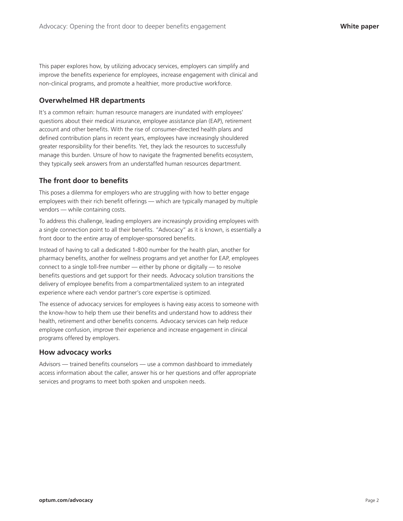This paper explores how, by utilizing advocacy services, employers can simplify and improve the benefits experience for employees, increase engagement with clinical and non-clinical programs, and promote a healthier, more productive workforce.

#### **Overwhelmed HR departments**

It's a common refrain: human resource managers are inundated with employees' questions about their medical insurance, employee assistance plan (EAP), retirement account and other benefits. With the rise of consumer-directed health plans and defined contribution plans in recent years, employees have increasingly shouldered greater responsibility for their benefits. Yet, they lack the resources to successfully manage this burden. Unsure of how to navigate the fragmented benefits ecosystem, they typically seek answers from an understaffed human resources department.

### **The front door to benefits**

This poses a dilemma for employers who are struggling with how to better engage employees with their rich benefit offerings — which are typically managed by multiple vendors — while containing costs.

To address this challenge, leading employers are increasingly providing employees with a single connection point to all their benefits. "Advocacy" as it is known, is essentially a front door to the entire array of employer-sponsored benefits.

Instead of having to call a dedicated 1-800 number for the health plan, another for pharmacy benefits, another for wellness programs and yet another for EAP, employees connect to a single toll-free number — either by phone or digitally — to resolve benefits questions and get support for their needs. Advocacy solution transitions the delivery of employee benefits from a compartmentalized system to an integrated experience where each vendor partner's core expertise is optimized.

The essence of advocacy services for employees is having easy access to someone with the know-how to help them use their benefits and understand how to address their health, retirement and other benefits concerns. Advocacy services can help reduce employee confusion, improve their experience and increase engagement in clinical programs offered by employers.

#### **How advocacy works**

Advisors — trained benefits counselors — use a common dashboard to immediately access information about the caller, answer his or her questions and offer appropriate services and programs to meet both spoken and unspoken needs.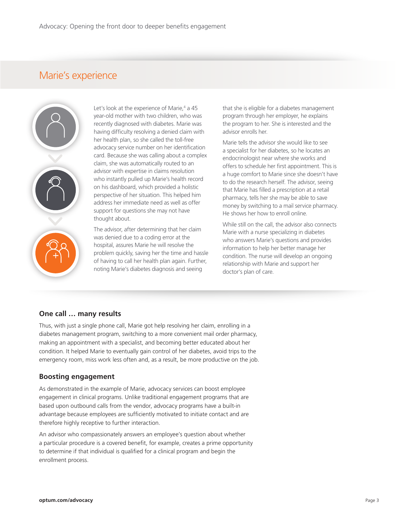## Marie's experience



Let's look at the experience of Marie,<sup>4</sup> a 45 year-old mother with two children, who was recently diagnosed with diabetes. Marie was having difficulty resolving a denied claim with her health plan, so she called the toll-free advocacy service number on her identification card. Because she was calling about a complex claim, she was automatically routed to an advisor with expertise in claims resolution who instantly pulled up Marie's health record on his dashboard, which provided a holistic perspective of her situation. This helped him address her immediate need as well as offer support for questions she may not have thought about.

The advisor, after determining that her claim was denied due to a coding error at the hospital, assures Marie he will resolve the problem quickly, saving her the time and hassle of having to call her health plan again. Further, noting Marie's diabetes diagnosis and seeing

that she is eligible for a diabetes management program through her employer, he explains the program to her. She is interested and the advisor enrolls her.

Marie tells the advisor she would like to see a specialist for her diabetes, so he locates an endocrinologist near where she works and offers to schedule her first appointment. This is a huge comfort to Marie since she doesn't have to do the research herself. The advisor, seeing that Marie has filled a prescription at a retail pharmacy, tells her she may be able to save money by switching to a mail service pharmacy. He shows her how to enroll online.

While still on the call, the advisor also connects Marie with a nurse specializing in diabetes who answers Marie's questions and provides information to help her better manage her condition. The nurse will develop an ongoing relationship with Marie and support her doctor's plan of care.

#### **One call … many results**

Thus, with just a single phone call, Marie got help resolving her claim, enrolling in a diabetes management program, switching to a more convenient mail order pharmacy, making an appointment with a specialist, and becoming better educated about her condition. It helped Marie to eventually gain control of her diabetes, avoid trips to the emergency room, miss work less often and, as a result, be more productive on the job.

#### **Boosting engagement**

As demonstrated in the example of Marie, advocacy services can boost employee engagement in clinical programs. Unlike traditional engagement programs that are based upon outbound calls from the vendor, advocacy programs have a built-in advantage because employees are sufficiently motivated to initiate contact and are therefore highly receptive to further interaction.

An advisor who compassionately answers an employee's question about whether a particular procedure is a covered benefit, for example, creates a prime opportunity to determine if that individual is qualified for a clinical program and begin the enrollment process.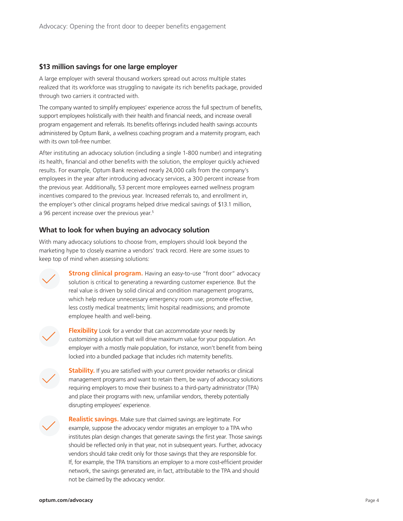#### **\$13 million savings for one large employer**

A large employer with several thousand workers spread out across multiple states realized that its workforce was struggling to navigate its rich benefits package, provided through two carriers it contracted with.

The company wanted to simplify employees' experience across the full spectrum of benefits, support employees holistically with their health and financial needs, and increase overall program engagement and referrals. Its benefits offerings included health savings accounts administered by Optum Bank, a wellness coaching program and a maternity program, each with its own toll-free number.

After instituting an advocacy solution (including a single 1-800 number) and integrating its health, financial and other benefits with the solution, the employer quickly achieved results. For example, Optum Bank received nearly 24,000 calls from the company's employees in the year after introducing advocacy services, a 300 percent increase from the previous year. Additionally, 53 percent more employees earned wellness program incentives compared to the previous year. Increased referrals to, and enrollment in, the employer's other clinical programs helped drive medical savings of \$13.1 million, a 96 percent increase over the previous year.<sup>5</sup>

### **What to look for when buying an advocacy solution**

With many advocacy solutions to choose from, employers should look beyond the marketing hype to closely examine a vendors' track record. Here are some issues to keep top of mind when assessing solutions:



**Strong clinical program.** Having an easy-to-use "front door" advocacy solution is critical to generating a rewarding customer experience. But the real value is driven by solid clinical and condition management programs, which help reduce unnecessary emergency room use; promote effective, less costly medical treatments; limit hospital readmissions; and promote employee health and well-being.



**Flexibility** Look for a vendor that can accommodate your needs by customizing a solution that will drive maximum value for your population. An employer with a mostly male population, for instance, won't benefit from being locked into a bundled package that includes rich maternity benefits.



**Stability.** If you are satisfied with your current provider networks or clinical management programs and want to retain them, be wary of advocacy solutions requiring employers to move their business to a third-party administrator (TPA) and place their programs with new, unfamiliar vendors, thereby potentially disrupting employees' experience.



**Realistic savings.** Make sure that claimed savings are legitimate. For example, suppose the advocacy vendor migrates an employer to a TPA who institutes plan design changes that generate savings the first year. Those savings should be reflected only in that year, not in subsequent years. Further, advocacy vendors should take credit only for those savings that they are responsible for. If, for example, the TPA transitions an employer to a more cost-efficient provider network, the savings generated are, in fact, attributable to the TPA and should not be claimed by the advocacy vendor.